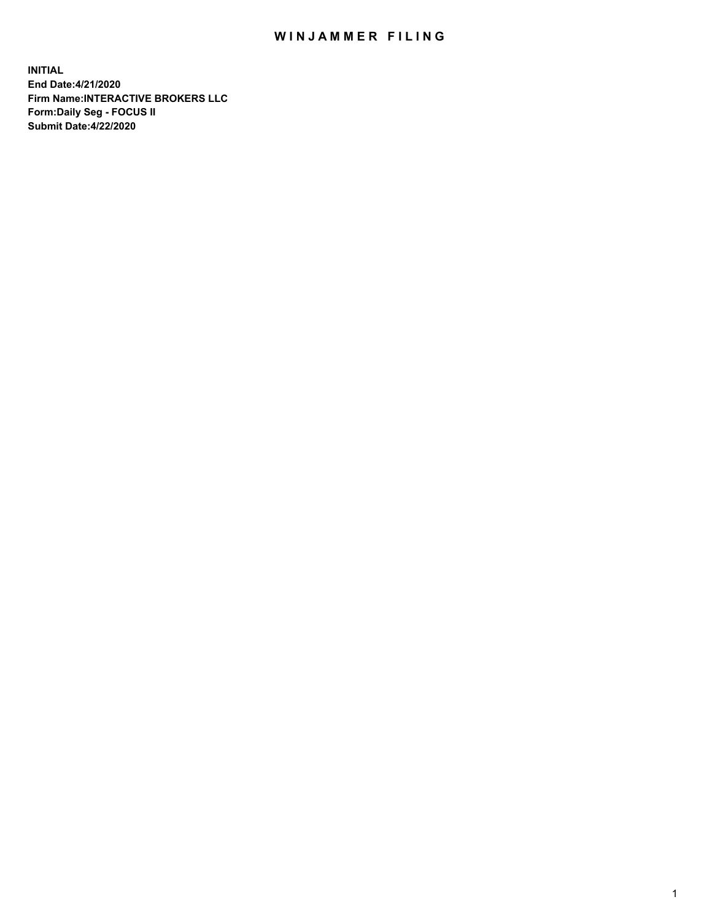## WIN JAMMER FILING

**INITIAL End Date:4/21/2020 Firm Name:INTERACTIVE BROKERS LLC Form:Daily Seg - FOCUS II Submit Date:4/22/2020**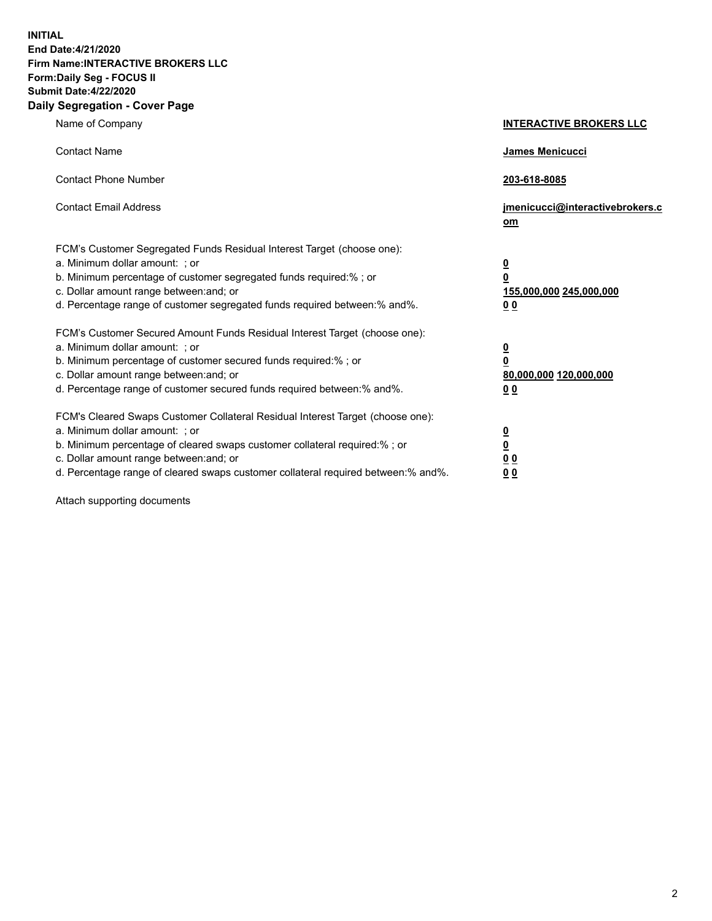**INITIAL End Date:4/21/2020 Firm Name:INTERACTIVE BROKERS LLC Form:Daily Seg - FOCUS II Submit Date:4/22/2020 Daily Segregation - Cover Page**

| Name of Company                                                                                                                                                                                                                                                                                                                | <b>INTERACTIVE BROKERS LLC</b>                                                   |
|--------------------------------------------------------------------------------------------------------------------------------------------------------------------------------------------------------------------------------------------------------------------------------------------------------------------------------|----------------------------------------------------------------------------------|
| <b>Contact Name</b>                                                                                                                                                                                                                                                                                                            | James Menicucci                                                                  |
| <b>Contact Phone Number</b>                                                                                                                                                                                                                                                                                                    | 203-618-8085                                                                     |
| <b>Contact Email Address</b>                                                                                                                                                                                                                                                                                                   | jmenicucci@interactivebrokers.c<br>om                                            |
| FCM's Customer Segregated Funds Residual Interest Target (choose one):<br>a. Minimum dollar amount: ; or<br>b. Minimum percentage of customer segregated funds required:% ; or<br>c. Dollar amount range between: and; or<br>d. Percentage range of customer segregated funds required between:% and%.                         | <u>0</u><br>$\overline{\mathbf{0}}$<br>155,000,000 245,000,000<br>0 <sub>0</sub> |
| FCM's Customer Secured Amount Funds Residual Interest Target (choose one):<br>a. Minimum dollar amount: ; or<br>b. Minimum percentage of customer secured funds required:% ; or<br>c. Dollar amount range between: and; or<br>d. Percentage range of customer secured funds required between:% and%.                           | <u>0</u><br>$\overline{\mathbf{0}}$<br>80,000,000 120,000,000<br>0 <sub>0</sub>  |
| FCM's Cleared Swaps Customer Collateral Residual Interest Target (choose one):<br>a. Minimum dollar amount: ; or<br>b. Minimum percentage of cleared swaps customer collateral required:% ; or<br>c. Dollar amount range between: and; or<br>d. Percentage range of cleared swaps customer collateral required between:% and%. | <u>0</u><br>$\underline{\mathbf{0}}$<br>0 <sub>0</sub><br>0 <sub>0</sub>         |

Attach supporting documents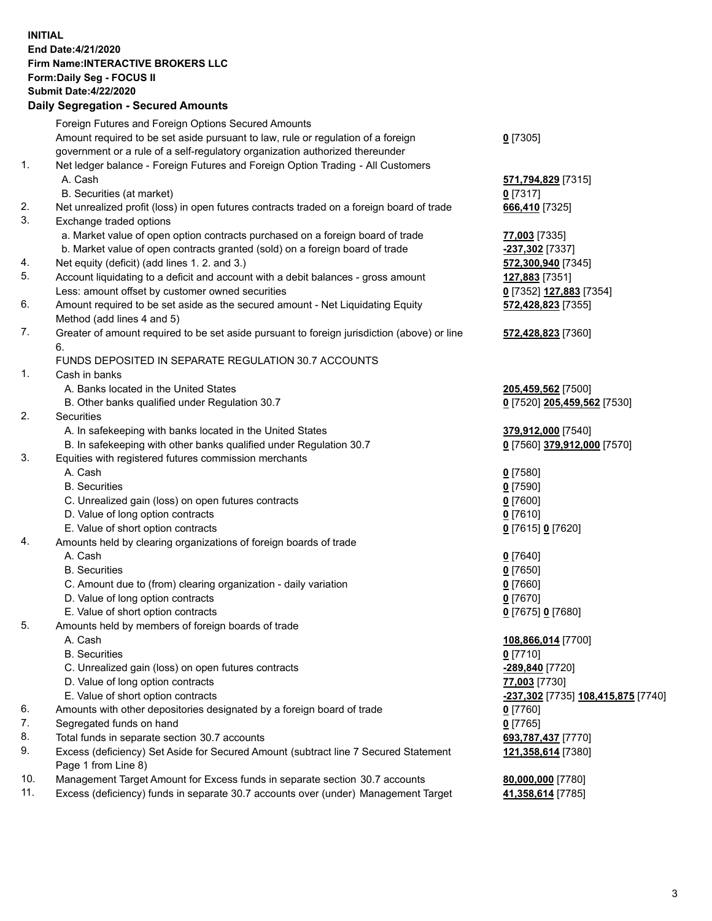## **INITIAL End Date:4/21/2020 Firm Name:INTERACTIVE BROKERS LLC Form:Daily Seg - FOCUS II Submit Date:4/22/2020**

|     | <b>Daily Segregation - Secured Amounts</b>                                                                 |                                                          |
|-----|------------------------------------------------------------------------------------------------------------|----------------------------------------------------------|
|     | Foreign Futures and Foreign Options Secured Amounts                                                        |                                                          |
|     | Amount required to be set aside pursuant to law, rule or regulation of a foreign                           | $0$ [7305]                                               |
|     | government or a rule of a self-regulatory organization authorized thereunder                               |                                                          |
| 1.  | Net ledger balance - Foreign Futures and Foreign Option Trading - All Customers                            |                                                          |
|     | A. Cash                                                                                                    | 571,794,829 [7315]                                       |
|     | B. Securities (at market)                                                                                  | $0$ [7317]                                               |
| 2.  | Net unrealized profit (loss) in open futures contracts traded on a foreign board of trade                  | 666,410 [7325]                                           |
| 3.  | Exchange traded options                                                                                    |                                                          |
|     | a. Market value of open option contracts purchased on a foreign board of trade                             | 77,003 [7335]                                            |
|     | b. Market value of open contracts granted (sold) on a foreign board of trade                               | -237,302 [7337]                                          |
| 4.  | Net equity (deficit) (add lines 1. 2. and 3.)                                                              | 572,300,940 [7345]                                       |
| 5.  | Account liquidating to a deficit and account with a debit balances - gross amount                          | 127,883 [7351]                                           |
|     | Less: amount offset by customer owned securities                                                           | 0 [7352] 127,883 [7354]                                  |
| 6.  | Amount required to be set aside as the secured amount - Net Liquidating Equity                             | 572,428,823 [7355]                                       |
|     | Method (add lines 4 and 5)                                                                                 |                                                          |
| 7.  | Greater of amount required to be set aside pursuant to foreign jurisdiction (above) or line                | 572,428,823 [7360]                                       |
|     | 6.                                                                                                         |                                                          |
|     | FUNDS DEPOSITED IN SEPARATE REGULATION 30.7 ACCOUNTS                                                       |                                                          |
| 1.  | Cash in banks                                                                                              |                                                          |
|     | A. Banks located in the United States                                                                      | 205,459,562 [7500]                                       |
| 2.  | B. Other banks qualified under Regulation 30.7<br><b>Securities</b>                                        | 0 [7520] 205,459,562 [7530]                              |
|     | A. In safekeeping with banks located in the United States                                                  | 379,912,000 [7540]                                       |
|     | B. In safekeeping with other banks qualified under Regulation 30.7                                         | 0 [7560] 379,912,000 [7570]                              |
| 3.  | Equities with registered futures commission merchants                                                      |                                                          |
|     | A. Cash                                                                                                    | $0$ [7580]                                               |
|     | <b>B.</b> Securities                                                                                       | $0$ [7590]                                               |
|     | C. Unrealized gain (loss) on open futures contracts                                                        | $Q$ [7600]                                               |
|     | D. Value of long option contracts                                                                          | $0$ [7610]                                               |
|     | E. Value of short option contracts                                                                         | 0 [7615] 0 [7620]                                        |
| 4.  | Amounts held by clearing organizations of foreign boards of trade                                          |                                                          |
|     | A. Cash                                                                                                    | $0$ [7640]                                               |
|     | <b>B.</b> Securities                                                                                       | $0$ [7650]                                               |
|     | C. Amount due to (from) clearing organization - daily variation                                            | $0$ [7660]                                               |
|     | D. Value of long option contracts                                                                          | $0$ [7670]                                               |
|     | E. Value of short option contracts                                                                         | 0 [7675] 0 [7680]                                        |
| 5.  | Amounts held by members of foreign boards of trade                                                         |                                                          |
|     | A. Cash                                                                                                    | 108,866,014 [7700]                                       |
|     | <b>B.</b> Securities                                                                                       | $0$ [7710]                                               |
|     | C. Unrealized gain (loss) on open futures contracts                                                        | -289,840 [7720]                                          |
|     | D. Value of long option contracts                                                                          | 77,003 [7730]                                            |
|     | E. Value of short option contracts                                                                         | <u>-<b>237,302</b> [</u> 7735] <u>108,415,875</u> [7740] |
| 6.  | Amounts with other depositories designated by a foreign board of trade                                     | $0$ [7760]                                               |
| 7.  | Segregated funds on hand                                                                                   | $0$ [7765]                                               |
| 8.  | Total funds in separate section 30.7 accounts                                                              | 693,787,437 [7770]                                       |
| 9.  | Excess (deficiency) Set Aside for Secured Amount (subtract line 7 Secured Statement<br>Page 1 from Line 8) | 121,358,614 [7380]                                       |
| 10. | Management Target Amount for Excess funds in separate section 30.7 accounts                                | 80,000,000 [7780]                                        |
| 11. | Excess (deficiency) funds in separate 30.7 accounts over (under) Management Target                         | 41,358,614 [7785]                                        |
|     |                                                                                                            |                                                          |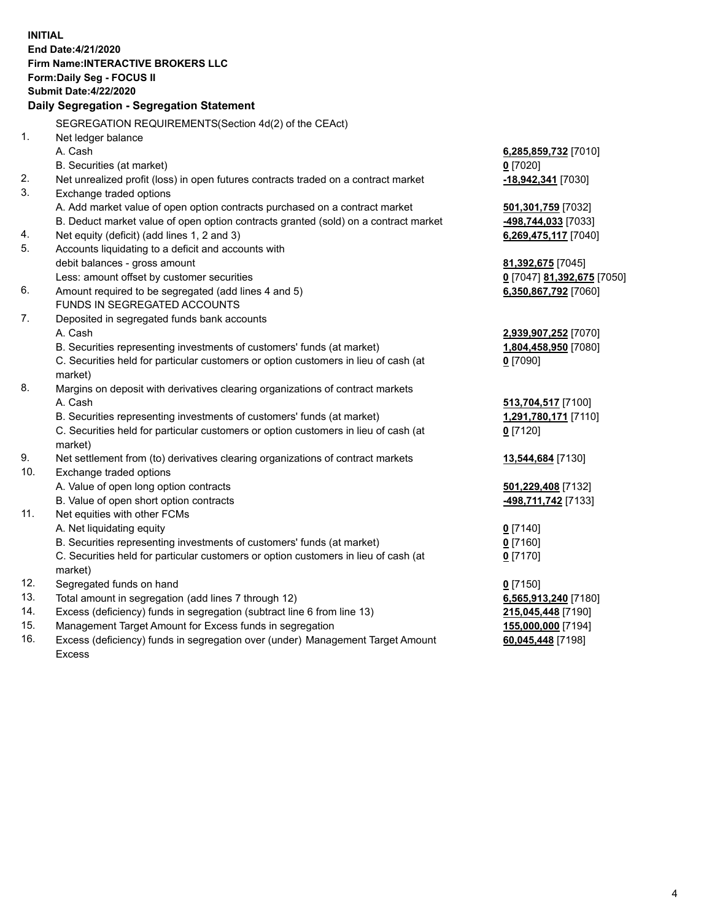**INITIAL End Date:4/21/2020 Firm Name:INTERACTIVE BROKERS LLC Form:Daily Seg - FOCUS II Submit Date:4/22/2020 Daily Segregation - Segregation Statement** SEGREGATION REQUIREMENTS(Section 4d(2) of the CEAct) 1. Net ledger balance A. Cash **6,285,859,732** [7010] B. Securities (at market) **0** [7020] 2. Net unrealized profit (loss) in open futures contracts traded on a contract market **-18,942,341** [7030] 3. Exchange traded options A. Add market value of open option contracts purchased on a contract market **501,301,759** [7032] B. Deduct market value of open option contracts granted (sold) on a contract market **-498,744,033** [7033] 4. Net equity (deficit) (add lines 1, 2 and 3) **6,269,475,117** [7040] 5. Accounts liquidating to a deficit and accounts with debit balances - gross amount **81,392,675** [7045] Less: amount offset by customer securities **0** [7047] **81,392,675** [7050] 6. Amount required to be segregated (add lines 4 and 5) **6,350,867,792** [7060] FUNDS IN SEGREGATED ACCOUNTS 7. Deposited in segregated funds bank accounts A. Cash **2,939,907,252** [7070] B. Securities representing investments of customers' funds (at market) **1,804,458,950** [7080] C. Securities held for particular customers or option customers in lieu of cash (at market) **0** [7090] 8. Margins on deposit with derivatives clearing organizations of contract markets A. Cash **513,704,517** [7100] B. Securities representing investments of customers' funds (at market) **1,291,780,171** [7110] C. Securities held for particular customers or option customers in lieu of cash (at market) **0** [7120] 9. Net settlement from (to) derivatives clearing organizations of contract markets **13,544,684** [7130] 10. Exchange traded options A. Value of open long option contracts **501,229,408** [7132] B. Value of open short option contracts **-498,711,742** [7133] 11. Net equities with other FCMs A. Net liquidating equity **0** [7140] B. Securities representing investments of customers' funds (at market) **0** [7160] C. Securities held for particular customers or option customers in lieu of cash (at market) **0** [7170] 12. Segregated funds on hand **0** [7150] 13. Total amount in segregation (add lines 7 through 12) **6,565,913,240** [7180] 14. Excess (deficiency) funds in segregation (subtract line 6 from line 13) **215,045,448** [7190] 15. Management Target Amount for Excess funds in segregation **155,000,000** [7194] **60,045,448** [7198]

16. Excess (deficiency) funds in segregation over (under) Management Target Amount Excess